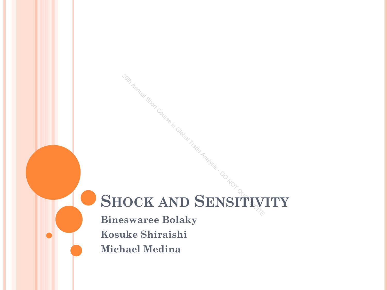# **SHOCK AND SENSITIVITY** <sup>20th Annual Short Course in Global Trade Analysis - DO NOT CITELY</sup>

**Bineswaree Bolaky Kosuke Shiraishi Michael Medina**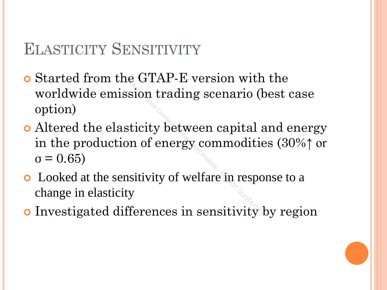## ELASTICITY SENSITIVITY

- Started from the GTAP-E version with the worldwide emission trading scenario (best case option)
- Altered the elasticity between capital and energy in the production of energy commodities (30%↑ or  $σ = 0.65$  $\begin{aligned} \text{the GTAP-E version with}\ \text{ssion trading scenario}\ (\text{k}\ \text{sticity between capital}\ \text{on of energy commoditic}\ \text{ensitivity of welfare in respoity} \end{aligned}$
- Looked at the sensitivity of welfare in response to a change in elasticity
- Investigated differences in sensitivity by region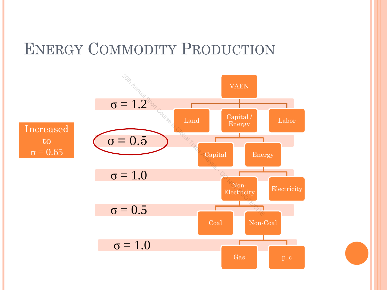## ENERGY COMMODITY PRODUCTION

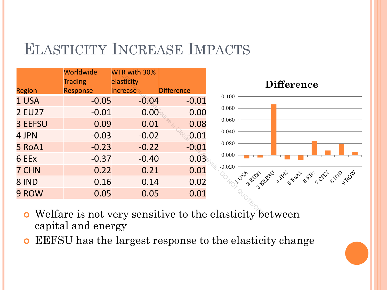## ELASTICITY INCREASE IMPACTS

|                | Worldwide      | WTR with 30% |                   |                                                   |
|----------------|----------------|--------------|-------------------|---------------------------------------------------|
|                | <b>Trading</b> | elasticity   |                   |                                                   |
| <b>Region</b>  | Response       | increase     | <b>Difference</b> |                                                   |
| 1 USA          | $-0.05$        | $-0.04$      | $-0.01$           | 0.100                                             |
| <b>2 EU27</b>  | $-0.01$        | 0.00         | 0.00              | 0.080                                             |
| <b>3 EEFSU</b> | 0.09           | 0.01         | 0.08              | 0.060                                             |
| 4 JPN          | $-0.03$        | $-0.02$      | $-0.01$           | $0.040\,$                                         |
| 5 RoA1         | $-0.23$        | $-0.22$      | $-0.01$           | 0.020                                             |
| 6 EEx          | $-0.37$        | $-0.40$      | 0.03              | 0.000                                             |
| 7 CHN          | 0.22           | 0.21         | 0.01              | $-0.020$                                          |
| 8 IND          | 0.16           | 0.14         | 0.02              | <b>JSP RIVET</b><br>38                            |
| 9 ROW          | 0.05           | 0.05         | 0.01              |                                                   |
|                |                |              |                   | Welfare is not very sensitive to the elasticity b |



- Welfare is not very sensitive to the elasticity between capital and energy
- EEFSU has the largest response to the elasticity change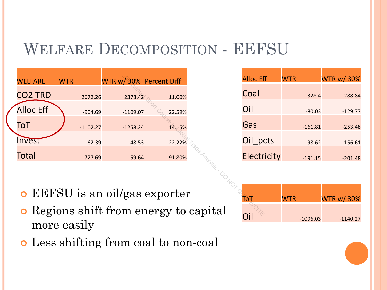## WELFARE DECOMPOSITION - EEFSU

|                                               | <b>WELFARE</b>                        | <b>WTR</b> | WTR w/30% Percent Diff |        |  | <b>Alloc Ef</b> |  |  |
|-----------------------------------------------|---------------------------------------|------------|------------------------|--------|--|-----------------|--|--|
|                                               | <b>CO2 TRD</b>                        | 2672.26    | 2378.42                | 11.00% |  | Coal            |  |  |
|                                               | <b>Alloc Eff</b>                      | $-904.69$  | $-1109.07$             | 22.59% |  | Oil             |  |  |
|                                               | ToT                                   | $-1102.27$ | $-1258.24$             | 14.15% |  | Gas             |  |  |
|                                               | Invest                                | 62.39      | 48.53                  | 22.22% |  | Oil_po          |  |  |
|                                               | <b>Total</b>                          | 727.69     | 59.64                  | 91.80% |  | Electr          |  |  |
|                                               |                                       |            |                        |        |  |                 |  |  |
|                                               | <b>o</b> EEFSU is an oil/gas exporter |            |                        |        |  |                 |  |  |
| lø»                                           |                                       |            |                        |        |  |                 |  |  |
| <b>o</b> Regions shift from energy to capital |                                       |            |                        |        |  |                 |  |  |

| <b>Alloc Eff</b> | <b>WTR</b> | <b>WTR w/30%</b> |
|------------------|------------|------------------|
| Coal             | $-328.4$   | $-288.84$        |
| Oil              | $-80.03$   | $-129.77$        |
| Gas              | $-161.81$  | $-253.48$        |
| Oil pcts         | $-98.62$   | $-156.61$        |
|                  |            |                  |
| Electricity      | $-191.15$  | $-201.48$        |

- EEFSU is an oil/gas exporter
- Regions shift from energy to capital more easily
- Less shifting from coal to non-coal

| Го  | <b>WTR</b> | <b>WTR w/30%</b> |
|-----|------------|------------------|
|     |            |                  |
| nil | $-1096.03$ | $-1140.27$       |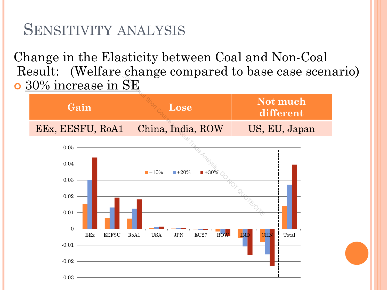## SENSITIVITY ANALYSIS

Change in the Elasticity between Coal and Non-Coal Result: (Welfare change compared to base case scenario) o 30% increase in SE

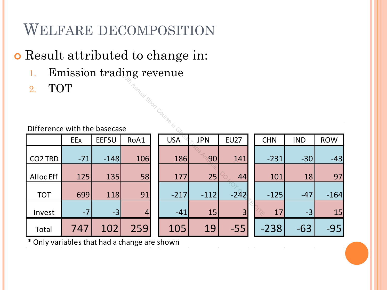## WELFARE DECOMPOSITION

## Result attributed to change in:

- 1. Emission trading revenue
- 2. TOT

#### Difference with the basecase

| 工.<br>L'INISSION d'August révenue |                       |              |                |  |            |            |                |  |            |            |            |
|-----------------------------------|-----------------------|--------------|----------------|--|------------|------------|----------------|--|------------|------------|------------|
| 2.                                | <b>TOT</b>            |              |                |  |            |            |                |  |            |            |            |
|                                   | Amual Short Course in |              |                |  |            |            |                |  |            |            |            |
|                                   |                       |              |                |  |            |            |                |  |            |            |            |
|                                   |                       |              |                |  |            |            |                |  |            |            |            |
|                                   |                       |              |                |  |            |            |                |  |            |            |            |
| Difference with the basecase      |                       |              |                |  |            |            |                |  |            |            |            |
|                                   | EEx                   | <b>EEFSU</b> | RoA1           |  | <b>USA</b> | <b>JPN</b> | <b>EU27</b>    |  | <b>CHN</b> | <b>IND</b> | <b>ROW</b> |
|                                   |                       |              |                |  |            |            |                |  |            |            |            |
| CO <sub>2</sub> TRD               | $-71$                 | $-148$       | 106            |  | 186        | 90         | 141            |  | $-231$     | $-30$      | $-43$      |
|                                   |                       |              |                |  |            |            |                |  |            |            |            |
| <b>Alloc Eff</b>                  | 125                   | 135          | 58             |  | 177        | 25         | 44             |  | 101        | 18         | 97         |
|                                   |                       |              |                |  |            |            |                |  |            |            |            |
| <b>TOT</b>                        | 699                   | 118          | 91             |  | $-217$     | $-112$     | $-242$         |  | $-125$     | $-47$      | $-164$     |
|                                   |                       |              |                |  |            |            |                |  |            |            |            |
| Invest                            | $-7$                  | $-3$         | $\overline{4}$ |  | $-41$      | 15         | $\overline{3}$ |  | 17         | $-3$       | 15         |
|                                   |                       |              |                |  |            |            |                |  |            |            |            |
| Total                             | 747                   | 102          | 259            |  | 105        | 19         | $-55$          |  | $-238$     | $-63$      | $-95$      |

\* Only variables that had a change are shown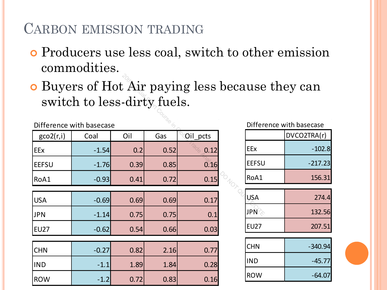## CARBON EMISSION TRADING

- Producers use less coal, switch to other emission commodities.
- Buyers of Hot Air paying less because they can switch to less-dirty fuels.

| <b>o</b> Buyers of Hot Air paying less because | switch to less-dirty fuels. |      |      |          |            |              |
|------------------------------------------------|-----------------------------|------|------|----------|------------|--------------|
|                                                | Difference with basecase    |      |      |          |            | Differ       |
| geo2(r,i)                                      | Coal                        | Oil  | Gas  | Oil_pcts |            |              |
| <b>EEx</b>                                     | $-1.54$                     | 0.2  | 0.52 | 0.12     | <b>EEx</b> |              |
| <b>EEFSU</b>                                   | $-1.76$                     | 0.39 | 0.85 | 0.16     |            | <b>EEFSU</b> |
| RoA1                                           | $-0.93$                     | 0.41 | 0.72 | 0.15     |            | RoA1         |
|                                                |                             |      |      |          |            |              |
| <b>USA</b>                                     | $-0.69$                     | 0.69 | 0.69 | 0.17     | <b>USA</b> |              |
| <b>JPN</b>                                     | $-1.14$                     | 0.75 | 0.75 | 0.1      | <b>JPN</b> |              |
| <b>EU27</b>                                    | $-0.62$                     | 0.54 | 0.66 | 0.03     |            | <b>EU27</b>  |
|                                                |                             |      |      |          |            |              |
| <b>CHN</b>                                     | $-0.27$                     | 0.82 | 2.16 | 0.77     | <b>CHN</b> |              |
| <b>IND</b>                                     | $-1.1$                      | 1.89 | 1.84 | 0.28     | <b>IND</b> |              |
| <b>ROW</b>                                     | $-1.2$                      | 0.72 | 0.83 | 0.16     |            | <b>ROW</b>   |

Difference with basecase

|              | DVCO2TRA(r) |
|--------------|-------------|
| EEx          | $-102.8$    |
| <b>EEFSU</b> | $-217.23$   |
| RoA1         | 156.31      |

| usa              | 274.4  |
|------------------|--------|
| JPN <sup>2</sup> | 132.56 |
| <b>EU27</b>      | 207.51 |

| <b>CHN</b>  | $-340.94$ |
|-------------|-----------|
| <b>IIND</b> | $-45.77$  |
| <b>ROW</b>  | $-64.07$  |

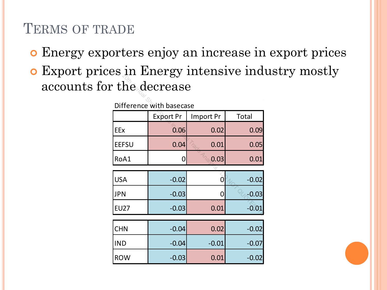## TERMS OF TRADE

- Energy exporters enjoy an increase in export prices
- Export prices in Energy intensive industry mostly accounts for the decrease

| r the decrease           |                  |           |         |  |  |  |  |  |
|--------------------------|------------------|-----------|---------|--|--|--|--|--|
| Difference with basecase |                  |           |         |  |  |  |  |  |
|                          | <b>Export Pr</b> | Import Pr | Total   |  |  |  |  |  |
| EEx                      | 0.06             | 0.02      | 0.09    |  |  |  |  |  |
| <b>EEFSU</b>             | 0.04             | 0.01      | 0.05    |  |  |  |  |  |
| RoA1                     | O                | 0.03      | 0.01    |  |  |  |  |  |
|                          |                  |           |         |  |  |  |  |  |
| <b>USA</b>               | $-0.02$          | 0         | $-0.02$ |  |  |  |  |  |
| <b>JPN</b>               | $-0.03$          | 0         | $-0.03$ |  |  |  |  |  |
| <b>EU27</b>              | $-0.03$          | 0.01      | $-0.01$ |  |  |  |  |  |
|                          |                  |           |         |  |  |  |  |  |
| <b>CHN</b>               | $-0.04$          | 0.02      | $-0.02$ |  |  |  |  |  |
| <b>IND</b>               | $-0.04$          | $-0.01$   | $-0.07$ |  |  |  |  |  |
| <b>ROW</b>               | $-0.03$          | 0.01      | $-0.02$ |  |  |  |  |  |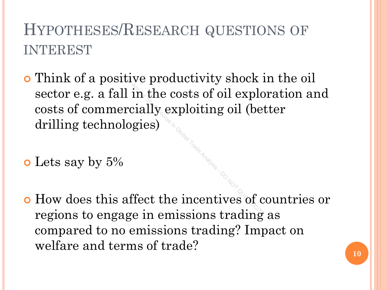# HYPOTHESES/RESEARCH QUESTIONS OF INTEREST

 Think of a positive productivity shock in the oil sector e.g. a fall in the costs of oil exploration and costs of commercially exploiting oil (better drilling technologies)  $\begin{aligned} \text{Itive productivity shock in} \ \text{all in the costs of oil exploc} \ \text{negies} \end{aligned}$ 

o Lets say by 5%

 How does this affect the incentives of countries or regions to engage in emissions trading as compared to no emissions trading? Impact on welfare and terms of trade?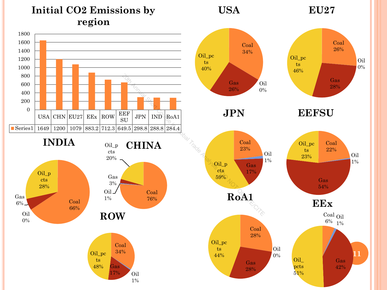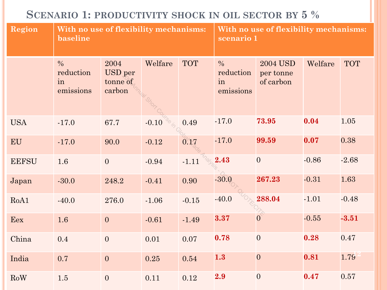## **SCENARIO 1: PRODUCTIVITY SHOCK IN OIL SECTOR BY 5 %**

| <b>Region</b> | With no use of flexibility mechanisms:<br>baseline |                                       |                    |            | With no use of flexibility mechanisms:<br>scenario 1 |                                           |         |            |
|---------------|----------------------------------------------------|---------------------------------------|--------------------|------------|------------------------------------------------------|-------------------------------------------|---------|------------|
|               | $\frac{0}{0}$<br>reduction<br>in<br>emissions      | 2004<br>USD per<br>tonne of<br>carbon | Welfare<br>Short C | <b>TOT</b> | $\frac{0}{0}$<br>reduction<br>in<br>emissions        | <b>2004 USD</b><br>per tonne<br>of carbon | Welfare | <b>TOT</b> |
| <b>USA</b>    | $-17.0$                                            | 67.7                                  | $-0.10$            | 0.49       | $-17.0$                                              | 73.95                                     | 0.04    | 1.05       |
| <b>EU</b>     | $-17.0$                                            | 90.0                                  | $-0.12$            | 0.17       | $-17.0$                                              | 99.59                                     | 0.07    | 0.38       |
| <b>EEFSU</b>  | $1.6\,$                                            | $\overline{0}$                        | $-0.94$            | $-1.11$    | 2.43                                                 | $\overline{0}$                            | $-0.86$ | $-2.68$    |
| Japan         | $-30.0$                                            | 248.2                                 | $-0.41$            | 0.90       | $-30.0$                                              | 267.23                                    | $-0.31$ | 1.63       |
| RoA1          | $-40.0$                                            | 276.0                                 | $-1.06$            | $-0.15$    | $-40.0$                                              | 288.04                                    | $-1.01$ | $-0.48$    |
| Eex           | 1.6                                                | $\boldsymbol{0}$                      | $-0.61$            | $-1.49$    | 3.37                                                 | $\overline{0}$                            | $-0.55$ | $-3.51$    |
| China         | 0.4                                                | $\overline{0}$                        | 0.01               | 0.07       | 0.78                                                 | $\overline{0}$                            | 0.28    | 0.47       |
| India         | 0.7                                                | $\boldsymbol{0}$                      | 0.25               | 0.54       | 1.3                                                  | $\overline{0}$                            | 0.81    | 1.79       |
| RoW           | 1.5                                                | $\boldsymbol{0}$                      | 0.11               | 0.12       | 2.9                                                  | $\overline{0}$                            | 0.47    | 0.57       |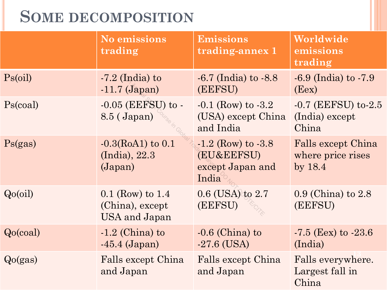# **SOME DECOMPOSITION**

|            | <b>No emissions</b><br>trading                         | <b>Emissions</b><br>trading-annex 1                               | Worldwide<br>emissions<br>trading                    |
|------------|--------------------------------------------------------|-------------------------------------------------------------------|------------------------------------------------------|
| $Ps$ (oil) | $-7.2$ (India) to<br>$-11.7$ (Japan)                   | $-6.7$ (India) to $-8.8$<br>(EEFSU)                               | $-6.9$ (India) to $-7.9$<br>(Eex)                    |
| Ps(coal)   | $-0.05$ (EEFSU) to $-$<br>8.5 (Japan)                  | $-0.1$ (Row) to $-3.2$<br>(USA) except China<br>and India         | $-0.7$ (EEFSU) to $-2.5$<br>(India) except<br>China  |
| Ps(gas)    | $-0.3$ (RoA1) to 0.1<br>(India), 22.3<br>(Japan)       | $-1.2$ (Row) to $-3.8$<br>(EU&EEFSU)<br>except Japan and<br>India | Falls except China<br>where price rises<br>by $18.4$ |
| Qo(oil)    | $0.1$ (Row) to 1.4<br>(China), except<br>USA and Japan | $0.6$ (USA) to $2.7$<br>(EEFSU)                                   | $0.9$ (China) to $2.8$<br>(EEFSU)                    |
| Qo(coal)   | $-1.2$ (China) to<br>$-45.4$ (Japan)                   | $-0.6$ (China) to<br>$-27.6$ (USA)                                | $-7.5$ (Eex) to $-23.6$<br>(India)                   |
| Qo(gas)    | Falls except China<br>and Japan                        | Falls except China<br>and Japan                                   | Falls everywhere.<br>Largest fall in<br>China        |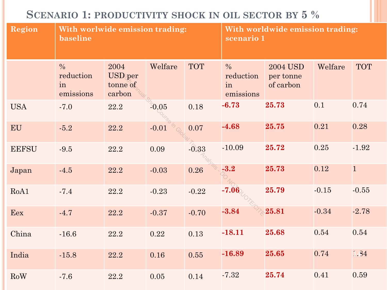## **SCENARIO 1: PRODUCTIVITY SHOCK IN OIL SECTOR BY 5 %**

| <b>Region</b> | With worlwide emission trading:<br>baseline   |                                              |         |            | With worldwide emission trading:<br>scenario 1 |                                           |         |            |
|---------------|-----------------------------------------------|----------------------------------------------|---------|------------|------------------------------------------------|-------------------------------------------|---------|------------|
|               | $\frac{0}{0}$<br>reduction<br>in<br>emissions | 2004<br><b>USD</b> per<br>tonne of<br>carbon | Welfare | <b>TOT</b> | $\frac{0}{0}$<br>reduction<br>in<br>emissions  | <b>2004 USD</b><br>per tonne<br>of carbon | Welfare | <b>TOT</b> |
| <b>USA</b>    | $-7.0$                                        | 22.2                                         | $-0.05$ | 0.18       | $-6.73$                                        | 25.73                                     | 0.1     | 0.74       |
| EU            | $-5.2$                                        | 22.2                                         | $-0.01$ | 0.07       | $-4.68$                                        | 25.75                                     | 0.21    | 0.28       |
| <b>EEFSU</b>  | $-9.5$                                        | 22.2                                         | 0.09    | $-0.33$    | $-10.09$                                       | 25.72                                     | 0.25    | $-1.92$    |
| Japan         | $-4.5$                                        | 22.2                                         | $-0.03$ | 0.26       | $-3.2$                                         | 25.73                                     | 0.12    | $\vert$ 1  |
| RoA1          | $-7.4$                                        | 22.2                                         | $-0.23$ | $-0.22$    | $-7.06$                                        | 25.79                                     | $-0.15$ | $-0.55$    |
| Eex           | $-4.7$                                        | 22.2                                         | $-0.37$ | $-0.70$    | $-3.84$                                        | 25.81                                     | $-0.34$ | $-2.78$    |
| China         | $-16.6$                                       | 22.2                                         | 0.22    | 0.13       | $-18.11$                                       | 25.68                                     | 0.54    | 0.54       |
| India         | $-15.8$                                       | 22.2                                         | 0.16    | 0.55       | $-16.89$                                       | 25.65                                     | 0.74    | 1.84       |
| RoW           | $-7.6$                                        | 22.2                                         | 0.05    | 0.14       | $-7.32$                                        | 25.74                                     | 0.41    | 0.59       |